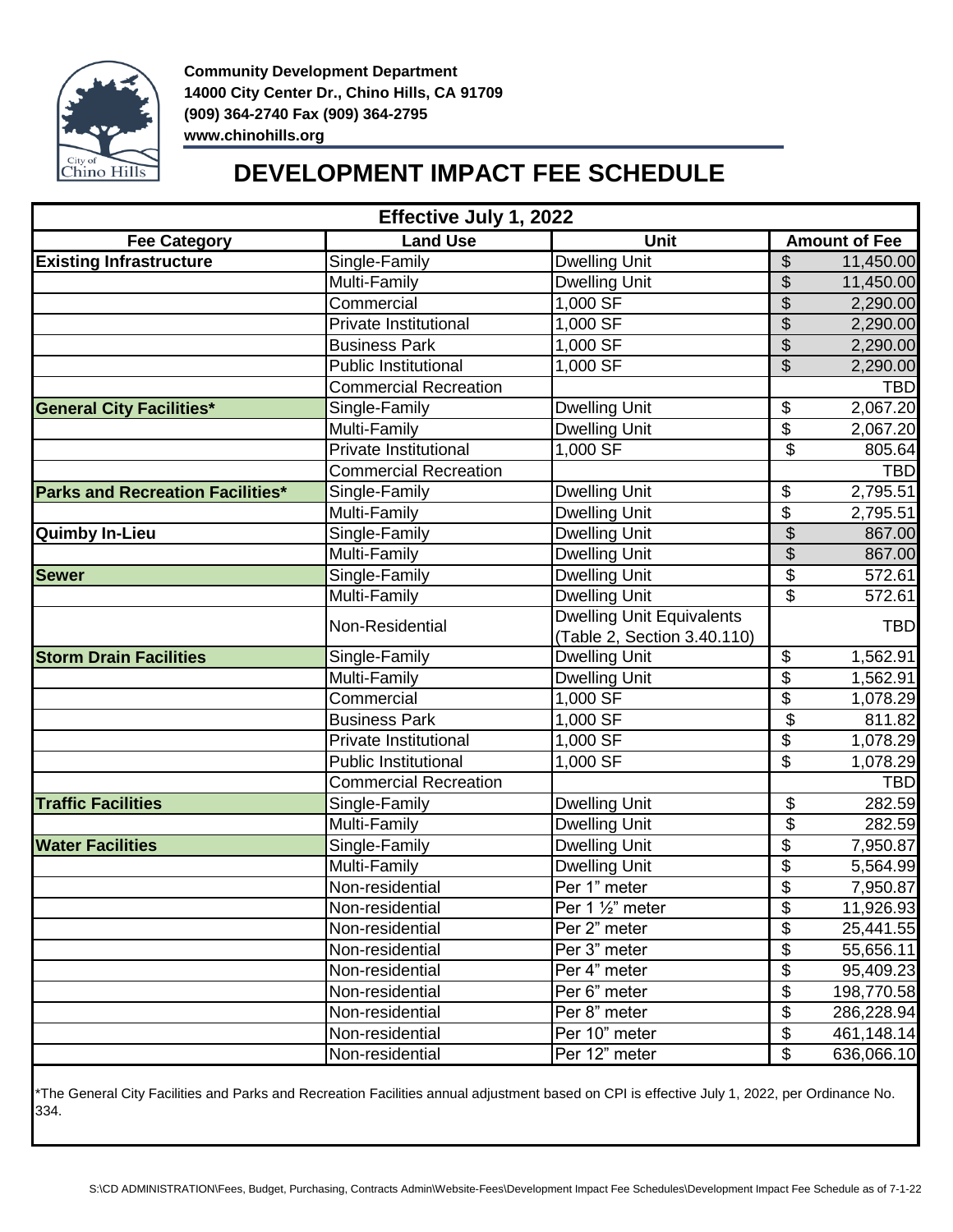

## **DEVELOPMENT IMPACT FEE SCHEDULE**

| Effective July 1, 2022                  |                              |                                  |                          |            |  |  |  |
|-----------------------------------------|------------------------------|----------------------------------|--------------------------|------------|--|--|--|
| <b>Fee Category</b>                     | <b>Land Use</b>              | Unit                             | <b>Amount of Fee</b>     |            |  |  |  |
| <b>Existing Infrastructure</b>          | Single-Family                | <b>Dwelling Unit</b>             | \$                       | 11,450.00  |  |  |  |
|                                         | Multi-Family                 | <b>Dwelling Unit</b>             | \$                       | 11,450.00  |  |  |  |
|                                         | Commercial                   | 1,000 SF                         | \$                       | 2,290.00   |  |  |  |
|                                         | Private Institutional        | 1,000 SF                         | \$                       | 2,290.00   |  |  |  |
|                                         | <b>Business Park</b>         | 1,000 SF                         | \$                       | 2,290.00   |  |  |  |
|                                         | <b>Public Institutional</b>  | 1,000 SF                         | $\overline{\mathcal{S}}$ | 2,290.00   |  |  |  |
|                                         | <b>Commercial Recreation</b> |                                  |                          | <b>TBD</b> |  |  |  |
| <b>General City Facilities*</b>         | Single-Family                | <b>Dwelling Unit</b>             | \$                       | 2,067.20   |  |  |  |
|                                         | Multi-Family                 | <b>Dwelling Unit</b>             | \$                       | 2,067.20   |  |  |  |
|                                         | <b>Private Institutional</b> | 1,000 SF                         | $\overline{\mathcal{S}}$ | 805.64     |  |  |  |
|                                         | <b>Commercial Recreation</b> |                                  |                          | <b>TBD</b> |  |  |  |
| <b>Parks and Recreation Facilities*</b> | Single-Family                | <b>Dwelling Unit</b>             | \$                       | 2,795.51   |  |  |  |
|                                         | Multi-Family                 | <b>Dwelling Unit</b>             | \$                       | 2,795.51   |  |  |  |
| <b>Quimby In-Lieu</b>                   | Single-Family                | <b>Dwelling Unit</b>             | \$                       | 867.00     |  |  |  |
|                                         | Multi-Family                 | <b>Dwelling Unit</b>             | $\frac{1}{2}$            | 867.00     |  |  |  |
| <b>Sewer</b>                            | Single-Family                | <b>Dwelling Unit</b>             | \$                       | 572.61     |  |  |  |
|                                         | Multi-Family                 | <b>Dwelling Unit</b>             | \$                       | 572.61     |  |  |  |
|                                         |                              | <b>Dwelling Unit Equivalents</b> |                          |            |  |  |  |
|                                         | Non-Residential              | (Table 2, Section 3.40.110)      |                          | <b>TBD</b> |  |  |  |
| <b>Storm Drain Facilities</b>           | Single-Family                | <b>Dwelling Unit</b>             | \$                       | 1,562.91   |  |  |  |
|                                         | Multi-Family                 | Dwelling Unit                    | \$                       | 1,562.91   |  |  |  |
|                                         | Commercial                   | $1,000$ SF                       | \$                       | 1,078.29   |  |  |  |
|                                         | <b>Business Park</b>         | 1,000 SF                         | \$                       | 811.82     |  |  |  |
|                                         | <b>Private Institutional</b> | 1,000 SF                         | \$                       | 1,078.29   |  |  |  |
|                                         | <b>Public Institutional</b>  | 1,000 SF                         | \$                       | 1,078.29   |  |  |  |
|                                         | <b>Commercial Recreation</b> |                                  |                          | <b>TBD</b> |  |  |  |
| <b>Traffic Facilities</b>               | Single-Family                | <b>Dwelling Unit</b>             | \$                       | 282.59     |  |  |  |
|                                         | Multi-Family                 | <b>Dwelling Unit</b>             | \$                       | 282.59     |  |  |  |
| <b>Water Facilities</b>                 | Single-Family                | <b>Dwelling Unit</b>             | \$                       | 7,950.87   |  |  |  |
|                                         | Multi-Family                 | <b>Dwelling Unit</b>             | \$                       | 5,564.99   |  |  |  |
|                                         | Non-residential              | Per 1" meter                     | \$                       | 7,950.87   |  |  |  |
|                                         | Non-residential              | Per 1 1/2" meter                 | $\overline{\$}$          | 11,926.93  |  |  |  |
|                                         | Non-residential              | Per 2" meter                     | \$                       | 25,441.55  |  |  |  |
|                                         | Non-residential              | Per 3" meter                     | \$                       | 55,656.11  |  |  |  |
|                                         | Non-residential              | Per 4" meter                     | \$                       | 95,409.23  |  |  |  |
|                                         | Non-residential              | Per 6" meter                     | $\overline{\mathcal{G}}$ | 198,770.58 |  |  |  |
|                                         | Non-residential              | Per 8" meter                     | \$                       | 286,228.94 |  |  |  |
|                                         | Non-residential              | Per 10" meter                    | $\overline{\mathcal{S}}$ | 461,148.14 |  |  |  |
|                                         | Non-residential              | Per 12" meter                    | \$                       | 636,066.10 |  |  |  |
|                                         |                              |                                  |                          |            |  |  |  |

\*The General City Facilities and Parks and Recreation Facilities annual adjustment based on CPI is effective July 1, 2022, per Ordinance No. 334.